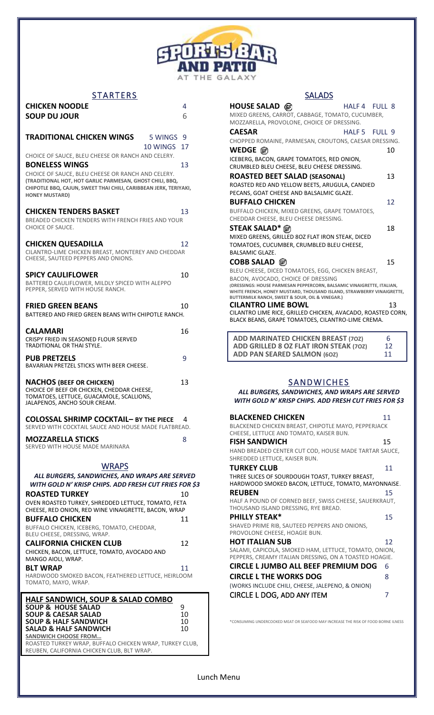

## STARTERS

| <b>CHICKEN NOODLE</b><br><b>SOUP DU JOUR</b>                                                                                                                                                                                        | 4<br>6   |
|-------------------------------------------------------------------------------------------------------------------------------------------------------------------------------------------------------------------------------------|----------|
|                                                                                                                                                                                                                                     |          |
| <b>TRADITIONAL CHICKEN WINGS</b><br>5 WINGS 9<br>10 WINGS                                                                                                                                                                           | 17       |
| CHOICE OF SAUCE, BLEU CHEESE OR RANCH AND CELERY.                                                                                                                                                                                   |          |
| <b>BONELESS WINGS</b><br>CHOICE OF SAUCE, BLEU CHEESE OR RANCH AND CELERY.<br>(TRADITIONAL HOT, HOT GARLIC PARMESAN, GHOST CHILI, BBQ,<br>CHIPOTLE BBQ, CAJUN, SWEET THAI CHILI, CARIBBEAN JERK, TERIYAKI,<br><b>HONEY MUSTARD)</b> | 13       |
| <b>CHICKEN TENDERS BASKET</b><br>BREADED CHICKEN TENDERS WITH FRENCH FRIES AND YOUR<br><b>CHOICE OF SAUCE.</b>                                                                                                                      | 13       |
| <b>CHICKEN QUESADILLA</b><br>CILANTRO-LIME CHICKEN BREAST, MONTEREY AND CHEDDAR<br>CHEESE, SAUTEED PEPPERS AND ONIONS.                                                                                                              | 12       |
| <b>SPICY CAULIFLOWER</b><br>BATTERED CAULIFLOWER, MILDLY SPICED WITH ALEPPO<br>PEPPER, SERVED WITH HOUSE RANCH.                                                                                                                     | 10       |
| <b>FRIED GREEN BEANS</b><br>BATTERED AND FRIED GREEN BEANS WITH CHIPOTLE RANCH.                                                                                                                                                     | 10       |
| <b>CALAMARI</b><br>CRISPY FRIED IN SEASONED FLOUR SERVED<br>TRADITIONAL OR THAI STYLE.                                                                                                                                              | 16       |
| <b>PUB PRETZELS</b><br>BAVARIAN PRETZEL STICKS WITH BEER CHEESE.                                                                                                                                                                    | 9        |
| <b>NACHOS (BEEF OR CHICKEN)</b><br>CHOICE OF BEEF OR CHICKEN, CHEDDAR CHEESE,<br>TOMATOES, LETTUCE, GUACAMOLE, SCALLIONS,<br>JALAPENOS, ANCHO SOUR CREAM.                                                                           | 13       |
| <b>COLOSSAL SHRIMP COCKTAIL- BY THE PIECE</b><br>SERVED WITH COCKTAIL SAUCE AND HOUSE MADE FLATBREAD.                                                                                                                               | 4        |
| <b>MOZZARELLA STICKS</b><br>SERVED WITH HOUSE MADE MARINARA                                                                                                                                                                         | 8        |
| <b>WRAPS</b>                                                                                                                                                                                                                        |          |
| ALL BURGERS, SANDWICHES, AND WRAPS ARE SERVED<br>WITH GOLD N' KRISP CHIPS. ADD FRESH CUT FRIES FOR \$3                                                                                                                              |          |
| <b>ROASTED TURKEY</b><br>OVEN ROASTED TURKEY, SHREDDED LETTUCE, TOMATO, FETA                                                                                                                                                        | 10       |
| CHEESE, RED ONION, RED WINE VINAIGRETTE, BACON, WRAP<br><b>BUFFALO CHICKEN</b>                                                                                                                                                      | 11       |
| BUFFALO CHICKEN, ICEBERG, TOMATO, CHEDDAR,<br>BLEU CHEESE, DRESSING, WRAP.                                                                                                                                                          |          |
| <b>CALIFORNIA CHICKEN CLUB</b><br>CHICKEN, BACON, LETTUCE, TOMATO, AVOCADO AND                                                                                                                                                      | 12       |
| MANGO AIOLI, WRAP.<br><b>BLT WRAP</b><br>HARDWOOD SMOKED BACON, FEATHERED LETTUCE, HEIRLOOM<br>TOMATO, MAYO, WRAP.                                                                                                                  | 11       |
| <b>HALF SANDWICH, SOUP &amp; SALAD COMBO</b><br><b>SOUP &amp; HOUSE SALAD</b>                                                                                                                                                       | 9        |
| <b>SOUP &amp; CAESAR SALAD</b><br><b>SOUP &amp; HALF SANDWICH</b>                                                                                                                                                                   | 10<br>10 |
| <b>SALAD &amp; HALF SANDWICH</b><br><b>SANDWICH CHOOSE FROM</b>                                                                                                                                                                     | 10       |
| ROASTED TURKEY WRAP, BUFFALO CHICKEN WRAP, TURKEY CLUB,<br>REUBEN, CALIFORNIA CHICKEN CLUB, BLT WRAP.                                                                                                                               |          |

| <b>SALADS</b>                                                                                               |               |                   |
|-------------------------------------------------------------------------------------------------------------|---------------|-------------------|
| HOUSE SALAD <i>(</i> ଜ)                                                                                     | HALF 4 FULL 8 |                   |
| MIXED GREENS, CARROT, CABBAGE, TOMATO, CUCUMBER,                                                            |               |                   |
| MOZZARELLA, PROVOLONE, CHOICE OF DRESSING.                                                                  |               |                   |
| <b>CAESAR</b>                                                                                               | HALF 5        | FULL <sub>9</sub> |
| CHOPPED ROMAINE, PARMESAN, CROUTONS, CAESAR DRESSING.                                                       |               |                   |
|                                                                                                             |               | 10                |
| ICEBERG, BACON, GRAPE TOMATOES, RED ONION,                                                                  |               |                   |
| CRUMBLED BLEU CHEESE, BLEU CHEESE DRESSING.                                                                 |               |                   |
| ROASTED BEET SALAD (SEASONAL)                                                                               |               | 13                |
| ROASTED RED AND YELLOW BEETS, ARUGULA, CANDIED                                                              |               |                   |
| PECANS, GOAT CHEESE AND BALSALMIC GLAZE.                                                                    |               |                   |
| <b>BUFFALO CHICKEN</b>                                                                                      |               | 12                |
| BUFFALO CHICKEN, MIXED GREENS, GRAPE TOMATOES,                                                              |               |                   |
| CHEDDAR CHEESE, BLEU CHEESE DRESSING.                                                                       |               |                   |
|                                                                                                             |               | 18                |
| MIXED GREENS, GRILLED 80Z FLAT IRON STEAK, DICED                                                            |               |                   |
| TOMATOES, CUCUMBER, CRUMBLED BLEU CHEESE,                                                                   |               |                   |
| <b>BALSAMIC GLAZE.</b>                                                                                      |               |                   |
| COBB SALAD <i>t</i><br>⑥                                                                                    |               | 15                |
| BLEU CHEESE, DICED TOMATOES, EGG, CHICKEN BREAST,                                                           |               |                   |
| BACON, AVOCADO, CHOICE OF DRESSING<br>(DRESSINGS: HOUSE PARMESAN PEPPERCORN, BALSAMIC VINAIGRETTE, ITALIAN, |               |                   |
| WHITE FRENCH, HONEY MUSTARD, THOUSAND ISLAND, STRAWBERRY VINAIGRETTE,                                       |               |                   |
| BUTTERMILK RANCH, SWEET & SOUR, OIL & VINEGAR.)                                                             |               |                   |
| <b>CILANTRO LIME BOWL</b><br>CILANTRO LIME RICE, GRILLED CHICKEN, AVACADO, ROASTED CORN,                    |               | 13                |
| BLACK BEANS, GRAPE TOMATOES, CILANTRO-LIME CREMA.                                                           |               |                   |
|                                                                                                             |               |                   |
| <b>ADD MARINATED CHICKEN BREAST (702)</b>                                                                   |               | 6                 |
| ADD GRILLED 8 OZ FLAT IRON STEAK (70Z)                                                                      |               | 12                |
| <b>ADD PAN SEARED SALMON (60Z)</b>                                                                          |               | 11                |
|                                                                                                             |               |                   |
|                                                                                                             |               |                   |
| <b>SANDWICHES</b>                                                                                           |               |                   |
| ALL BURGERS, SANDWICHES, AND WRAPS ARE SERVED                                                               |               |                   |
| WITH GOLD N' KRISP CHIPS. ADD FRESH CUT FRIES FOR \$3                                                       |               |                   |
|                                                                                                             |               |                   |
| <b>BLACKENED CHICKEN</b>                                                                                    |               | 11                |

| <b>BLACKENED CHICKEN</b>                                                                                        | 11 |
|-----------------------------------------------------------------------------------------------------------------|----|
| BLACKENED CHICKEN BREAST, CHIPOTLE MAYO, PEPPERJACK<br>CHEESE, LETTUCE AND TOMATO, KAISER BUN.                  |    |
| <b>FISH SANDWICH</b>                                                                                            | 15 |
| HAND BREADED CENTER CUT COD, HOUSE MADE TARTAR SAUCE,<br>SHREDDED LETTUCE, KAISER BUN.                          |    |
| <b>TURKEY CLUB</b>                                                                                              | 11 |
| THREE SLICES OF SOURDOUGH TOAST, TURKEY BREAST,<br>HARDWOOD SMOKED BACON, LETTUCE, TOMATO, MAYONNAISE.          |    |
| <b>REUBEN</b>                                                                                                   | 15 |
| HALF A POUND OF CORNED BEEF, SWISS CHEESE, SAUERKRAUT,<br>THOUSAND ISLAND DRESSING, RYE BREAD.                  |    |
| <b>PHILLY STEAK*</b>                                                                                            | 15 |
| SHAVED PRIME RIB, SAUTEED PEPPERS AND ONIONS,<br>PROVOLONE CHEESE, HOAGIE BUN.                                  |    |
| <b>HOT ITALIAN SUB</b>                                                                                          | 12 |
| SALAMI, CAPICOLA, SMOKED HAM, LETTUCE, TOMATO, ONION,<br>PEPPERS, CREAMY ITALIAN DRESSING, ON A TOASTED HOAGIE. |    |
| CIRCLE L JUMBO ALL BEEF PREMIUM DOG                                                                             | 6  |
| <b>CIRCLE L THE WORKS DOG</b>                                                                                   | 8  |
| (WORKS INCLUDE CHILI, CHEESE, JALEPENO, & ONION)                                                                |    |
| CIRCLE L DOG, ADD ANY ITEM                                                                                      |    |

\*CONSUMING UNDERCOOKED MEAT OR SEAFOOD MAY INCREASE THE RISK OF FOOD BORNE ILNESS

Lunch Menu